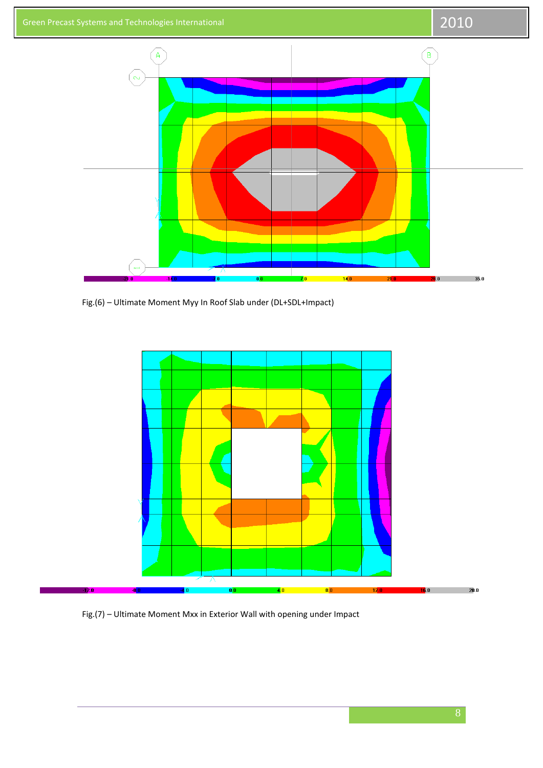

Fig.(6) – Ultimate Moment Myy In Roof Slab under (DL+SDL+Impact)



Fig.(7) – Ultimate Moment Mxx in Exterior Wall with opening under Impact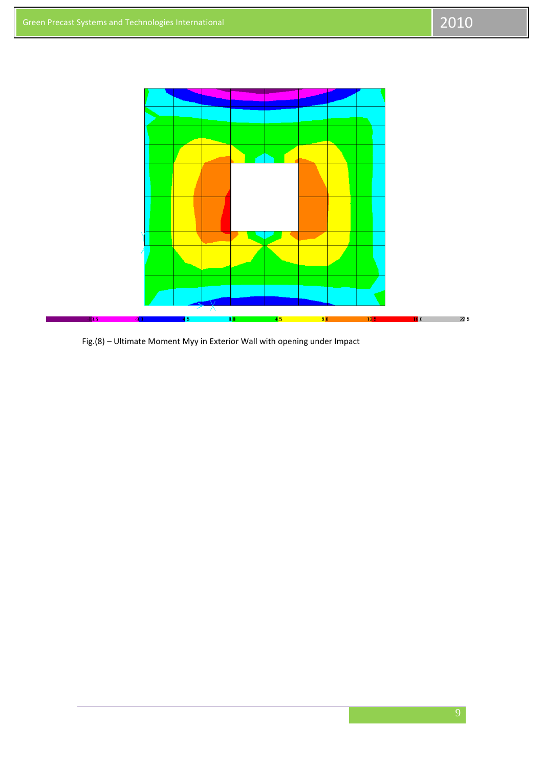

Fig.(8) - Ultimate Moment Myy in Exterior Wall with opening under Impact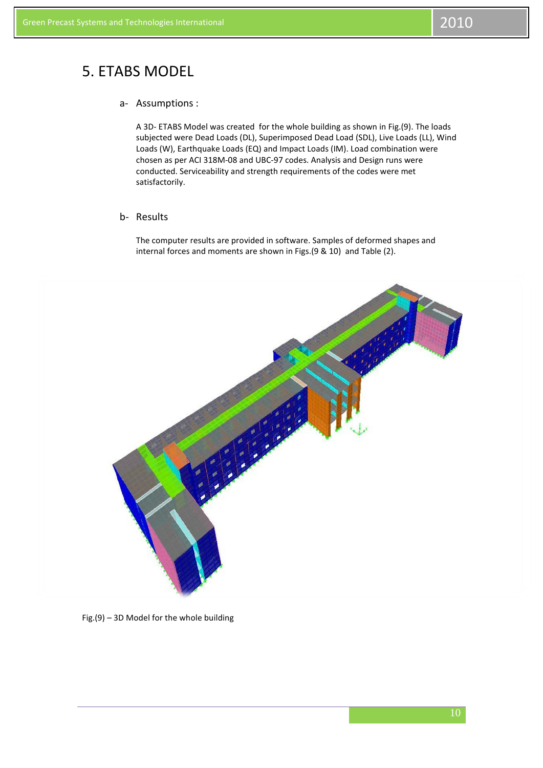## 5. ETABS MODEL

## a- Assumptions :

A 3D- ETABS Model was created for the whole building as shown in Fig.(9). The loads subjected were Dead Loads (DL), Superimposed Dead Load (SDL), Live Loads (LL), Wind Loads (W), Earthquake Loads (EQ) and Impact Loads (IM). Load combination were chosen as per ACI 318M-08 and UBC-97 codes. Analysis and Design runs were conducted. Serviceability and strength requirements of the codes were met satisfactorily.

## b- Results

The computer results are provided in software. Samples of deformed shapes and internal forces and moments are shown in Figs.(9 & 10) and Table (2).



Fig.(9) – 3D Model for the whole building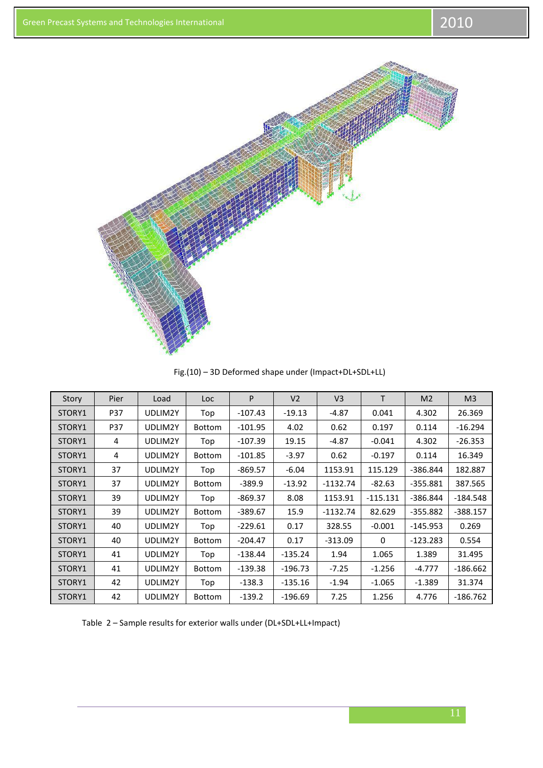

Fig.(10) – 3D Deformed shape under (Impact+DL+SDL+LL)

| Story  | Pier       | Load    | Loc           | P         | V <sub>2</sub> | V <sub>3</sub> | T            | M <sub>2</sub> | M <sub>3</sub> |
|--------|------------|---------|---------------|-----------|----------------|----------------|--------------|----------------|----------------|
| STORY1 | <b>P37</b> | UDLIM2Y | Top           | $-107.43$ | $-19.13$       | -4.87          | 0.041        | 4.302          | 26.369         |
| STORY1 | P37        | UDLIM2Y | <b>Bottom</b> | $-101.95$ | 4.02           | 0.62           | 0.197        | 0.114          | $-16.294$      |
| STORY1 | 4          | UDLIM2Y | Top           | $-107.39$ | 19.15          | -4.87          | $-0.041$     | 4.302          | $-26.353$      |
| STORY1 | 4          | UDLIM2Y | <b>Bottom</b> | $-101.85$ | $-3.97$        | 0.62           | $-0.197$     | 0.114          | 16.349         |
| STORY1 | 37         | UDLIM2Y | Top           | $-869.57$ | $-6.04$        | 1153.91        | 115.129      | $-386.844$     | 182.887        |
| STORY1 | 37         | UDLIM2Y | <b>Bottom</b> | $-389.9$  | $-13.92$       | $-1132.74$     | $-82.63$     | $-355.881$     | 387.565        |
| STORY1 | 39         | UDLIM2Y | Top           | $-869.37$ | 8.08           | 1153.91        | $-115.131$   | $-386.844$     | $-184.548$     |
| STORY1 | 39         | UDLIM2Y | Bottom        | $-389.67$ | 15.9           | $-1132.74$     | 82.629       | $-355.882$     | $-388.157$     |
| STORY1 | 40         | UDLIM2Y | Top           | $-229.61$ | 0.17           | 328.55         | $-0.001$     | $-145.953$     | 0.269          |
| STORY1 | 40         | UDLIM2Y | Bottom        | $-204.47$ | 0.17           | $-313.09$      | $\mathbf{0}$ | $-123.283$     | 0.554          |
| STORY1 | 41         | UDLIM2Y | Top           | $-138.44$ | $-135.24$      | 1.94           | 1.065        | 1.389          | 31.495         |
| STORY1 | 41         | UDLIM2Y | Bottom        | $-139.38$ | $-196.73$      | $-7.25$        | $-1.256$     | $-4.777$       | $-186.662$     |
| STORY1 | 42         | UDLIM2Y | Top           | $-138.3$  | $-135.16$      | $-1.94$        | $-1.065$     | $-1.389$       | 31.374         |
| STORY1 | 42         | UDLIM2Y | Bottom        | $-139.2$  | $-196.69$      | 7.25           | 1.256        | 4.776          | $-186.762$     |

Table 2 – Sample results for exterior walls under (DL+SDL+LL+Impact)